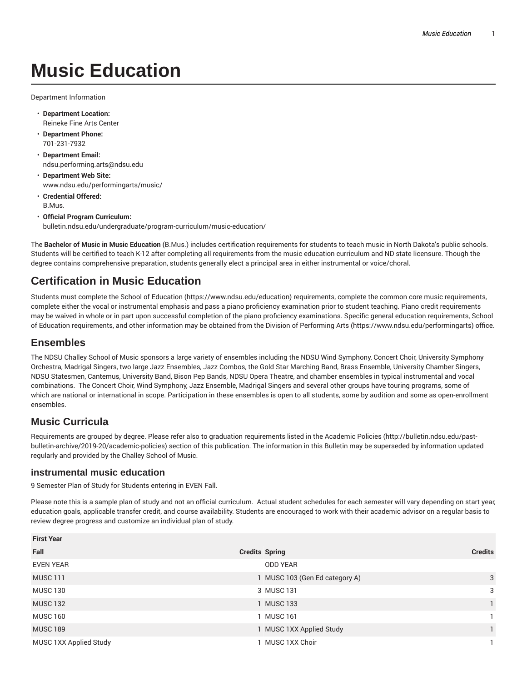Department Information

- **Department Location:** Reineke Fine Arts Center
- **Department Phone:** 701-231-7932
- **Department Email:** ndsu.performing.arts@ndsu.edu
- **Department Web Site:** www.ndsu.edu/performingarts/music/
- **Credential Offered:** B.Mus.
- **Official Program Curriculum:** bulletin.ndsu.edu/undergraduate/program-curriculum/music-education/

The **Bachelor of Music in Music Education** (B.Mus.) includes certification requirements for students to teach music in North Dakota's public schools. Students will be certified to teach K-12 after completing all requirements from the music education curriculum and ND state licensure. Though the degree contains comprehensive preparation, students generally elect a principal area in either instrumental or voice/choral.

## **Certification in Music Education**

Students must complete the School of Education (https://www.ndsu.edu/education) requirements, complete the common core music requirements, complete either the vocal or instrumental emphasis and pass a piano proficiency examination prior to student teaching. Piano credit requirements may be waived in whole or in part upon successful completion of the piano proficiency examinations. Specific general education requirements, School of Education requirements, and other information may be obtained from the Division of Performing Arts (https://www.ndsu.edu/performingarts) office.

### **Ensembles**

The NDSU Challey School of Music sponsors a large variety of ensembles including the NDSU Wind Symphony, Concert Choir, University Symphony Orchestra, Madrigal Singers, two large Jazz Ensembles, Jazz Combos, the Gold Star Marching Band, Brass Ensemble, University Chamber Singers, NDSU Statesmen, Cantemus, University Band, Bison Pep Bands, NDSU Opera Theatre, and chamber ensembles in typical instrumental and vocal combinations. The Concert Choir, Wind Symphony, Jazz Ensemble, Madrigal Singers and several other groups have touring programs, some of which are national or international in scope. Participation in these ensembles is open to all students, some by audition and some as open-enrollment ensembles.

## **Music Curricula**

Requirements are grouped by degree. Please refer also to graduation requirements listed in the Academic Policies (http://bulletin.ndsu.edu/pastbulletin-archive/2019-20/academic-policies) section of this publication. The information in this Bulletin may be superseded by information updated regularly and provided by the Challey School of Music.

#### **instrumental music education**

9 Semester Plan of Study for Students entering in EVEN Fall.

Please note this is a sample plan of study and not an official curriculum. Actual student schedules for each semester will vary depending on start year, education goals, applicable transfer credit, and course availability. Students are encouraged to work with their academic advisor on a regular basis to review degree progress and customize an individual plan of study.

| <b>First Year</b>      |                                |                |
|------------------------|--------------------------------|----------------|
| Fall                   | <b>Credits Spring</b>          | <b>Credits</b> |
| <b>EVEN YEAR</b>       | <b>ODD YEAR</b>                |                |
| <b>MUSC 111</b>        | 1 MUSC 103 (Gen Ed category A) | 3              |
| <b>MUSC 130</b>        | 3 MUSC 131                     | 3              |
| <b>MUSC 132</b>        | 1 MUSC 133                     |                |
| <b>MUSC 160</b>        | <b>MUSC 161</b>                |                |
| <b>MUSC 189</b>        | 1 MUSC 1XX Applied Study       |                |
| MUSC 1XX Applied Study | MUSC 1XX Choir                 |                |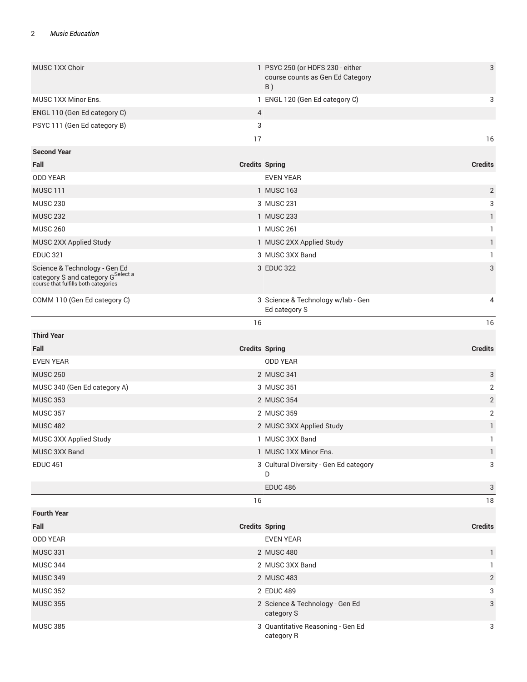| MUSC 1XX Choir                                                                                                      |                       | 1 PSYC 250 (or HDFS 230 - either<br>course counts as Gen Ed Category<br>B) | 3              |
|---------------------------------------------------------------------------------------------------------------------|-----------------------|----------------------------------------------------------------------------|----------------|
| MUSC 1XX Minor Ens.                                                                                                 |                       | 1 ENGL 120 (Gen Ed category C)                                             | 3              |
| ENGL 110 (Gen Ed category C)                                                                                        | 4                     |                                                                            |                |
| PSYC 111 (Gen Ed category B)                                                                                        | 3                     |                                                                            |                |
|                                                                                                                     | 17                    |                                                                            | 16             |
| <b>Second Year</b>                                                                                                  |                       |                                                                            |                |
| Fall                                                                                                                | <b>Credits Spring</b> |                                                                            | <b>Credits</b> |
| <b>ODD YEAR</b>                                                                                                     |                       | <b>EVEN YEAR</b>                                                           |                |
| <b>MUSC 111</b>                                                                                                     |                       | 1 MUSC 163                                                                 | $\overline{2}$ |
| <b>MUSC 230</b>                                                                                                     |                       | 3 MUSC 231                                                                 | 3              |
| <b>MUSC 232</b>                                                                                                     |                       | 1 MUSC 233                                                                 | 1              |
| <b>MUSC 260</b>                                                                                                     |                       | 1 MUSC 261                                                                 | 1              |
| MUSC 2XX Applied Study                                                                                              |                       | 1 MUSC 2XX Applied Study                                                   | 1              |
| <b>EDUC 321</b>                                                                                                     |                       | 3 MUSC 3XX Band                                                            | 1              |
| Science & Technology - Gen Ed<br>category S and category G <sup>Select a</sup> course that fulfills both categories |                       | 3 EDUC 322                                                                 | 3              |
| COMM 110 (Gen Ed category C)                                                                                        |                       | 3 Science & Technology w/lab - Gen<br>Ed category S                        | 4              |
|                                                                                                                     | 16                    |                                                                            | 16             |
| <b>Third Year</b>                                                                                                   |                       |                                                                            |                |
| Fall                                                                                                                | <b>Credits Spring</b> |                                                                            | <b>Credits</b> |
| <b>EVEN YEAR</b>                                                                                                    |                       | <b>ODD YEAR</b>                                                            |                |
| <b>MUSC 250</b>                                                                                                     |                       | 2 MUSC 341                                                                 | 3              |
| MUSC 340 (Gen Ed category A)                                                                                        |                       | 3 MUSC 351                                                                 | 2              |
| <b>MUSC 353</b>                                                                                                     |                       | 2 MUSC 354                                                                 | $\overline{2}$ |
| <b>MUSC 357</b>                                                                                                     |                       | 2 MUSC 359                                                                 | $\overline{2}$ |
| <b>MUSC 482</b>                                                                                                     |                       | 2 MUSC 3XX Applied Study                                                   | 1              |
| MUSC 3XX Applied Study                                                                                              |                       | 1 MUSC 3XX Band                                                            | 1              |
| MUSC 3XX Band                                                                                                       |                       | 1 MUSC 1XX Minor Ens.                                                      | 1              |
| <b>EDUC 451</b>                                                                                                     |                       | 3 Cultural Diversity - Gen Ed category<br>D                                | 3              |
|                                                                                                                     |                       | <b>EDUC 486</b>                                                            | 3              |
|                                                                                                                     | 16                    |                                                                            | 18             |
| <b>Fourth Year</b>                                                                                                  |                       |                                                                            |                |
| Fall                                                                                                                | <b>Credits Spring</b> |                                                                            | <b>Credits</b> |
| <b>ODD YEAR</b>                                                                                                     |                       | <b>EVEN YEAR</b>                                                           |                |
| <b>MUSC 331</b>                                                                                                     |                       | 2 MUSC 480                                                                 | 1              |
| <b>MUSC 344</b>                                                                                                     |                       | 2 MUSC 3XX Band                                                            | 1              |
| <b>MUSC 349</b>                                                                                                     |                       | 2 MUSC 483                                                                 | $\overline{2}$ |
| <b>MUSC 352</b>                                                                                                     |                       | 2 EDUC 489                                                                 | 3              |
| <b>MUSC 355</b>                                                                                                     |                       | 2 Science & Technology - Gen Ed<br>category S                              | 3              |
| <b>MUSC 385</b>                                                                                                     |                       | 3 Quantitative Reasoning - Gen Ed<br>category R                            | 3              |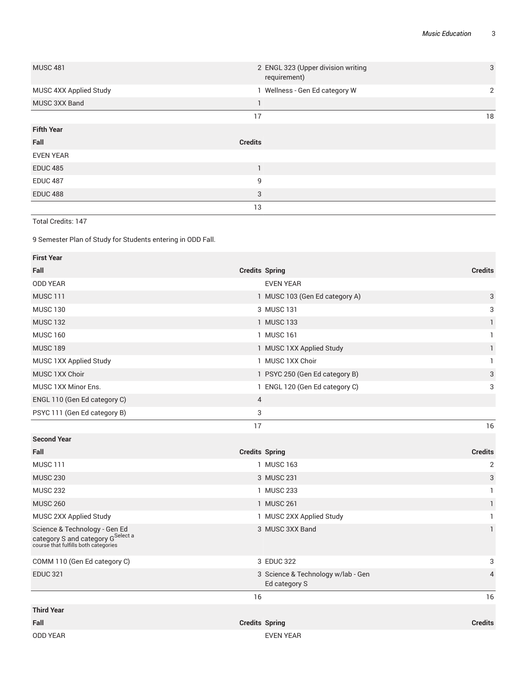| <b>MUSC 481</b>        | 2 ENGL 323 (Upper division writing<br>requirement) | 3  |
|------------------------|----------------------------------------------------|----|
| MUSC 4XX Applied Study | 1 Wellness - Gen Ed category W                     | 2  |
| MUSC 3XX Band          |                                                    |    |
|                        | 17                                                 | 18 |
| <b>Fifth Year</b>      |                                                    |    |
| Fall                   | <b>Credits</b>                                     |    |
| <b>EVEN YEAR</b>       |                                                    |    |
| <b>EDUC 485</b>        | э                                                  |    |
| <b>EDUC 487</b>        | 9                                                  |    |
| <b>EDUC 488</b>        | 3                                                  |    |
|                        | 13                                                 |    |

Total Credits: 147

9 Semester Plan of Study for Students entering in ODD Fall.

| <b>First Year</b>                                                                                                      |                       |                                                     |                           |
|------------------------------------------------------------------------------------------------------------------------|-----------------------|-----------------------------------------------------|---------------------------|
| Fall                                                                                                                   | <b>Credits Spring</b> |                                                     | <b>Credits</b>            |
| <b>ODD YEAR</b>                                                                                                        |                       | <b>EVEN YEAR</b>                                    |                           |
| <b>MUSC 111</b>                                                                                                        |                       | 1 MUSC 103 (Gen Ed category A)                      | 3                         |
| <b>MUSC 130</b>                                                                                                        |                       | 3 MUSC 131                                          | 3                         |
| <b>MUSC 132</b>                                                                                                        |                       | 1 MUSC 133                                          | 1                         |
| <b>MUSC 160</b>                                                                                                        |                       | 1 MUSC 161                                          | 1                         |
| <b>MUSC 189</b>                                                                                                        |                       | 1 MUSC 1XX Applied Study                            | 1                         |
| MUSC 1XX Applied Study                                                                                                 |                       | 1 MUSC 1XX Choir                                    | $\mathbf{1}$              |
| MUSC 1XX Choir                                                                                                         |                       | 1 PSYC 250 (Gen Ed category B)                      | $\ensuremath{\mathsf{3}}$ |
| <b>MUSC 1XX Minor Ens.</b>                                                                                             |                       | 1 ENGL 120 (Gen Ed category C)                      | 3                         |
| ENGL 110 (Gen Ed category C)                                                                                           | 4                     |                                                     |                           |
| PSYC 111 (Gen Ed category B)                                                                                           | 3                     |                                                     |                           |
|                                                                                                                        | 17                    |                                                     | 16                        |
| <b>Second Year</b>                                                                                                     |                       |                                                     |                           |
| Fall                                                                                                                   | <b>Credits Spring</b> |                                                     | <b>Credits</b>            |
| <b>MUSC 111</b>                                                                                                        |                       | 1 MUSC 163                                          | $\overline{2}$            |
| <b>MUSC 230</b>                                                                                                        |                       | 3 MUSC 231                                          | 3                         |
| <b>MUSC 232</b>                                                                                                        |                       | 1 MUSC 233                                          | $\mathbf{1}$              |
| <b>MUSC 260</b>                                                                                                        |                       | 1 MUSC 261                                          | $\mathbf{1}$              |
| MUSC 2XX Applied Study                                                                                                 |                       | 1 MUSC 2XX Applied Study                            | $\mathbf{1}$              |
| Science & Technology - Gen Ed<br>category S and category G <sup>Select a</sup><br>course that fulfills both categories |                       | 3 MUSC 3XX Band                                     | $\mathbf{1}$              |
| COMM 110 (Gen Ed category C)                                                                                           |                       | 3 EDUC 322                                          | 3                         |
| <b>EDUC 321</b>                                                                                                        |                       | 3 Science & Technology w/lab - Gen<br>Ed category S | $\overline{4}$            |
|                                                                                                                        | 16                    |                                                     | 16                        |
| <b>Third Year</b>                                                                                                      |                       |                                                     |                           |
|                                                                                                                        |                       |                                                     |                           |
| Fall                                                                                                                   | <b>Credits Spring</b> |                                                     | <b>Credits</b>            |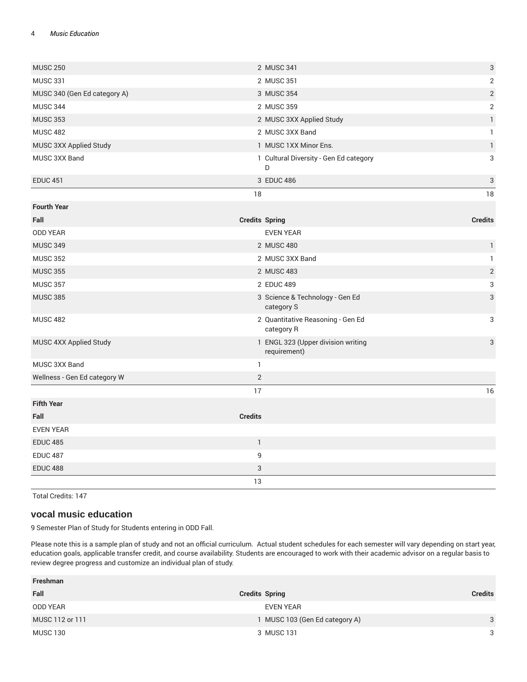| <b>MUSC 250</b>              |                       | 2 MUSC 341                                         | $\ensuremath{\mathsf{3}}$ |
|------------------------------|-----------------------|----------------------------------------------------|---------------------------|
| <b>MUSC 331</b>              |                       | 2 MUSC 351                                         | $\mathbf 2$               |
| MUSC 340 (Gen Ed category A) |                       | 3 MUSC 354                                         | $\sqrt{2}$                |
| <b>MUSC 344</b>              |                       | 2 MUSC 359                                         | $\mathbf 2$               |
| <b>MUSC 353</b>              |                       | 2 MUSC 3XX Applied Study                           | $\mathbf{1}$              |
| <b>MUSC 482</b>              |                       | 2 MUSC 3XX Band                                    | $\mathbf{1}$              |
| MUSC 3XX Applied Study       |                       | 1 MUSC 1XX Minor Ens.                              | $\mathbf{1}$              |
| MUSC 3XX Band                |                       | 1 Cultural Diversity - Gen Ed category<br>D        | 3                         |
| <b>EDUC 451</b>              |                       | 3 EDUC 486                                         | 3                         |
|                              | 18                    |                                                    | 18                        |
| <b>Fourth Year</b>           |                       |                                                    |                           |
| Fall                         | <b>Credits Spring</b> |                                                    | <b>Credits</b>            |
| <b>ODD YEAR</b>              |                       | <b>EVEN YEAR</b>                                   |                           |
| <b>MUSC 349</b>              |                       | 2 MUSC 480                                         | $\mathbf{1}$              |
| <b>MUSC 352</b>              |                       | 2 MUSC 3XX Band                                    | $\mathbf{1}$              |
| <b>MUSC 355</b>              |                       | 2 MUSC 483                                         | $\sqrt{2}$                |
| <b>MUSC 357</b>              |                       | 2 EDUC 489                                         | 3                         |
| <b>MUSC 385</b>              |                       | 3 Science & Technology - Gen Ed<br>category S      | 3                         |
| <b>MUSC 482</b>              |                       | 2 Quantitative Reasoning - Gen Ed<br>category R    | 3                         |
| MUSC 4XX Applied Study       |                       | 1 ENGL 323 (Upper division writing<br>requirement) | 3                         |
| MUSC 3XX Band                | $\mathbf{1}$          |                                                    |                           |
| Wellness - Gen Ed category W | 2                     |                                                    |                           |
|                              | 17                    |                                                    | 16                        |
| <b>Fifth Year</b>            |                       |                                                    |                           |
| Fall                         | <b>Credits</b>        |                                                    |                           |
| <b>EVEN YEAR</b>             |                       |                                                    |                           |
| <b>EDUC 485</b>              | $\mathbf{1}$          |                                                    |                           |
| <b>EDUC 487</b>              | 9                     |                                                    |                           |
| <b>EDUC 488</b>              | 3                     |                                                    |                           |
|                              | 13                    |                                                    |                           |

Total Credits: 147

#### **vocal music education**

9 Semester Plan of Study for Students entering in ODD Fall.

Please note this is a sample plan of study and not an official curriculum. Actual student schedules for each semester will vary depending on start year, education goals, applicable transfer credit, and course availability. Students are encouraged to work with their academic advisor on a regular basis to review degree progress and customize an individual plan of study.

| Freshman        |                                |                |
|-----------------|--------------------------------|----------------|
| Fall            | <b>Credits Spring</b>          | <b>Credits</b> |
| ODD YEAR        | EVEN YEAR                      |                |
| MUSC 112 or 111 | 1 MUSC 103 (Gen Ed category A) | 3              |
| MUSC 130        | 3 MUSC 131                     | 3              |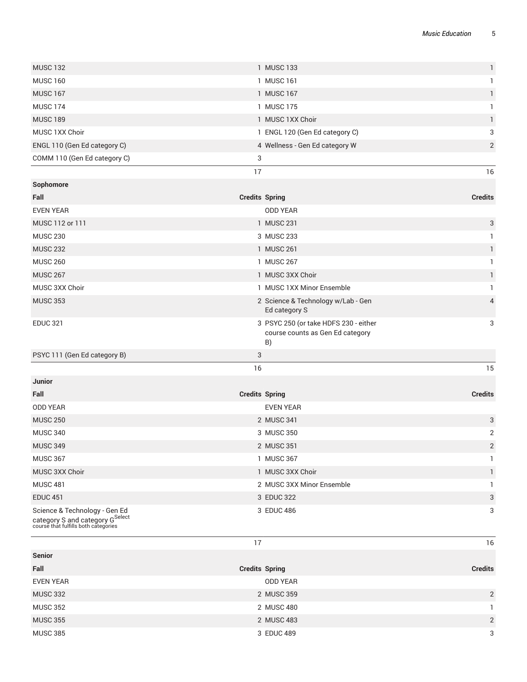| <b>MUSC 132</b>                                                                                                   | 1 MUSC 133                                                                      | $\mathbf{1}$   |
|-------------------------------------------------------------------------------------------------------------------|---------------------------------------------------------------------------------|----------------|
| <b>MUSC 160</b>                                                                                                   | 1 MUSC 161                                                                      | $\mathbf{1}$   |
| <b>MUSC 167</b>                                                                                                   | 1 MUSC 167                                                                      | $\mathbf{1}$   |
| <b>MUSC 174</b>                                                                                                   | 1 MUSC 175                                                                      | 1              |
| <b>MUSC 189</b>                                                                                                   | 1 MUSC 1XX Choir                                                                | $\mathbf{1}$   |
| MUSC 1XX Choir                                                                                                    | 1 ENGL 120 (Gen Ed category C)                                                  | 3              |
| ENGL 110 (Gen Ed category C)                                                                                      | 4 Wellness - Gen Ed category W                                                  | $\sqrt{2}$     |
| COMM 110 (Gen Ed category C)                                                                                      | 3                                                                               |                |
|                                                                                                                   | 17                                                                              | 16             |
| Sophomore                                                                                                         |                                                                                 |                |
| Fall                                                                                                              | <b>Credits Spring</b>                                                           | <b>Credits</b> |
| <b>EVEN YEAR</b>                                                                                                  | <b>ODD YEAR</b>                                                                 |                |
| MUSC 112 or 111                                                                                                   | 1 MUSC 231                                                                      | 3              |
| <b>MUSC 230</b>                                                                                                   | 3 MUSC 233                                                                      | 1              |
| <b>MUSC 232</b>                                                                                                   | 1 MUSC 261                                                                      | $\mathbf{1}$   |
| <b>MUSC 260</b>                                                                                                   | 1 MUSC 267                                                                      | $\mathbf{1}$   |
| <b>MUSC 267</b>                                                                                                   | 1 MUSC 3XX Choir                                                                | $\mathbf{1}$   |
| MUSC 3XX Choir                                                                                                    | 1 MUSC 1XX Minor Ensemble                                                       | 1              |
| <b>MUSC 353</b>                                                                                                   | 2 Science & Technology w/Lab - Gen<br>Ed category S                             | $\overline{4}$ |
| <b>EDUC 321</b>                                                                                                   | 3 PSYC 250 (or take HDFS 230 - either<br>course counts as Gen Ed category<br>B) | 3              |
| PSYC 111 (Gen Ed category B)                                                                                      | 3                                                                               |                |
|                                                                                                                   | 16                                                                              | 15             |
| Junior                                                                                                            |                                                                                 |                |
| Fall                                                                                                              | <b>Credits Spring</b>                                                           | <b>Credits</b> |
| <b>ODD YEAR</b>                                                                                                   | <b>EVEN YEAR</b>                                                                |                |
| <b>MUSC 250</b>                                                                                                   | 2 MUSC 341                                                                      | 3              |
| <b>MUSC 340</b>                                                                                                   | 3 MUSC 350                                                                      | $\overline{2}$ |
| <b>MUSC 349</b>                                                                                                   | 2 MUSC 351                                                                      | $\overline{2}$ |
| <b>MUSC 367</b>                                                                                                   | 1 MUSC 367                                                                      | 1              |
| MUSC 3XX Choir                                                                                                    | 1 MUSC 3XX Choir                                                                | 1              |
| <b>MUSC 481</b>                                                                                                   | 2 MUSC 3XX Minor Ensemble                                                       | $\mathbf{1}$   |
| <b>EDUC 451</b>                                                                                                   | 3 EDUC 322                                                                      | 3              |
| Science & Technology - Gen Ed<br>category S and category G <sup>Select</sup> course that fulfills both categories | 3 EDUC 486                                                                      | 3              |
|                                                                                                                   | 17                                                                              | 16             |
| <b>Senior</b>                                                                                                     |                                                                                 |                |
| Fall                                                                                                              | <b>Credits Spring</b>                                                           | <b>Credits</b> |
| <b>EVEN YEAR</b>                                                                                                  | <b>ODD YEAR</b>                                                                 |                |
| <b>MUSC 332</b>                                                                                                   |                                                                                 | $\overline{2}$ |
|                                                                                                                   | 2 MUSC 359                                                                      |                |
| <b>MUSC 352</b>                                                                                                   | 2 MUSC 480                                                                      | $\mathbf{1}$   |
| <b>MUSC 355</b>                                                                                                   | 2 MUSC 483                                                                      | $\overline{2}$ |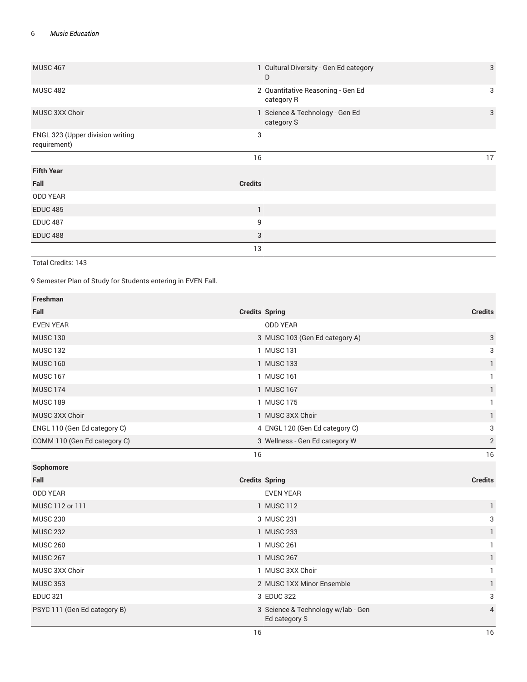| <b>MUSC 467</b>                                  | 1 Cultural Diversity - Gen Ed category<br>D     | $\mathbf{3}$ |
|--------------------------------------------------|-------------------------------------------------|--------------|
| <b>MUSC 482</b>                                  | 2 Quantitative Reasoning - Gen Ed<br>category R | 3            |
| MUSC 3XX Choir                                   | 1 Science & Technology - Gen Ed<br>category S   | 3            |
| ENGL 323 (Upper division writing<br>requirement) | 3                                               |              |
|                                                  | 16                                              | 17           |
| <b>Fifth Year</b>                                |                                                 |              |
| Fall                                             | <b>Credits</b>                                  |              |
| <b>ODD YEAR</b>                                  |                                                 |              |
| <b>EDUC 485</b>                                  | $\mathbf{1}$                                    |              |
| <b>EDUC 487</b>                                  | 9                                               |              |
| <b>EDUC 488</b>                                  | 3                                               |              |
|                                                  | 13                                              |              |

Total Credits: 143

9 Semester Plan of Study for Students entering in EVEN Fall.

| <b>Freshman</b>              |                                |                |
|------------------------------|--------------------------------|----------------|
| Fall                         | <b>Credits Spring</b>          | <b>Credits</b> |
| <b>EVEN YEAR</b>             | <b>ODD YEAR</b>                |                |
| <b>MUSC 130</b>              | 3 MUSC 103 (Gen Ed category A) | 3              |
| <b>MUSC 132</b>              | 1 MUSC 131                     | 3              |
| <b>MUSC 160</b>              | 1 MUSC 133                     | 1              |
| <b>MUSC 167</b>              | 1 MUSC 161                     | 1              |
| <b>MUSC 174</b>              | 1 MUSC 167                     | $\mathbf{1}$   |
| <b>MUSC 189</b>              | 1 MUSC 175                     | 1              |
| MUSC 3XX Choir               | 1 MUSC 3XX Choir               | $\mathbf{1}$   |
| ENGL 110 (Gen Ed category C) | 4 ENGL 120 (Gen Ed category C) | 3              |
| COMM 110 (Gen Ed category C) | 3 Wellness - Gen Ed category W | $\sqrt{2}$     |
|                              | 16                             | 16             |
| Sophomore                    |                                |                |
|                              |                                |                |
| Fall                         | <b>Credits Spring</b>          | <b>Credits</b> |
| <b>ODD YEAR</b>              | <b>EVEN YEAR</b>               |                |
| MUSC 112 or 111              | 1 MUSC 112                     | $\mathbf{1}$   |
| <b>MUSC 230</b>              | 3 MUSC 231                     | 3              |
| <b>MUSC 232</b>              | 1 MUSC 233                     | $\mathbf{1}$   |
| <b>MUSC 260</b>              | 1 MUSC 261                     | $\mathbf{1}$   |
| <b>MUSC 267</b>              | 1 MUSC 267                     | $\mathbf{1}$   |
| MUSC 3XX Choir               | 1 MUSC 3XX Choir               | 1              |
| <b>MUSC 353</b>              | 2 MUSC 1XX Minor Ensemble      | $\mathbf{1}$   |
| <b>EDUC 321</b>              | 3 EDUC 322                     | 3              |